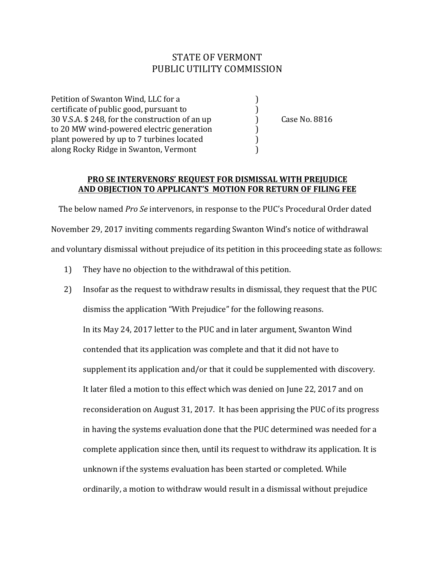## STATE OF VERMONT PUBLIC UTILITY COMMISSION

Petition of Swanton Wind, LLC for a (1) certificate of public good, pursuant to  $\qquad \qquad$  ) 30 V.S.A. \$ 248, for the construction of an up (ase No. 8816) to 20 MW wind-powered electric generation (a) plant powered by up to 7 turbines located  $\qquad \qquad$  ) along Rocky Ridge in Swanton, Vermont

## **PRO SE INTERVENORS' REQUEST FOR DISMISSAL WITH PREJUDICE** AND OBJECTION TO APPLICANT'S MOTION FOR RETURN OF FILING FEE

The below named *Pro Se* intervenors, in response to the PUC's Procedural Order dated November 29, 2017 inviting comments regarding Swanton Wind's notice of withdrawal and voluntary dismissal without prejudice of its petition in this proceeding state as follows:

- 1) They have no objection to the withdrawal of this petition.
- 2) Insofar as the request to withdraw results in dismissal, they request that the PUC dismiss the application "With Prejudice" for the following reasons. In its May 24, 2017 letter to the PUC and in later argument, Swanton Wind contended that its application was complete and that it did not have to supplement its application and/or that it could be supplemented with discovery. It later filed a motion to this effect which was denied on June 22, 2017 and on reconsideration on August 31, 2017. It has been apprising the PUC of its progress in having the systems evaluation done that the PUC determined was needed for a complete application since then, until its request to withdraw its application. It is unknown if the systems evaluation has been started or completed. While ordinarily, a motion to withdraw would result in a dismissal without prejudice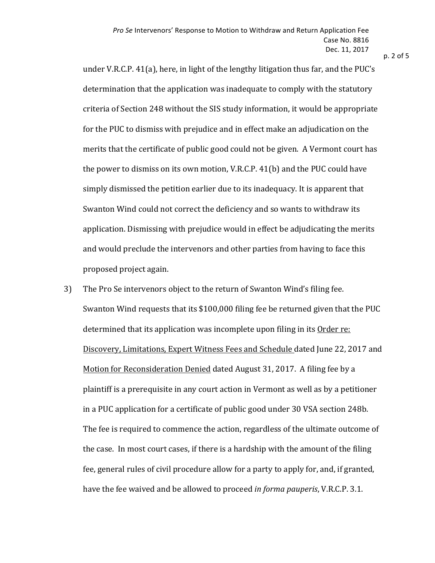$p. 2$  of 5

under V.R.C.P.  $41(a)$ , here, in light of the lengthy litigation thus far, and the PUC's determination that the application was inadequate to comply with the statutory criteria of Section 248 without the SIS study information, it would be appropriate for the PUC to dismiss with prejudice and in effect make an adjudication on the merits that the certificate of public good could not be given. A Vermont court has the power to dismiss on its own motion, V.R.C.P.  $41(b)$  and the PUC could have simply dismissed the petition earlier due to its inadequacy. It is apparent that Swanton Wind could not correct the deficiency and so wants to withdraw its application. Dismissing with prejudice would in effect be adjudicating the merits and would preclude the intervenors and other parties from having to face this proposed project again.

3) The Pro Se intervenors object to the return of Swanton Wind's filing fee. Swanton Wind requests that its \$100,000 filing fee be returned given that the PUC determined that its application was incomplete upon filing in its Order re: Discovery, Limitations, Expert Witness Fees and Schedule dated June 22, 2017 and Motion for Reconsideration Denied dated August 31, 2017. A filing fee by a plaintiff is a prerequisite in any court action in Vermont as well as by a petitioner in a PUC application for a certificate of public good under 30 VSA section 248b. The fee is required to commence the action, regardless of the ultimate outcome of the case. In most court cases, if there is a hardship with the amount of the filing fee, general rules of civil procedure allow for a party to apply for, and, if granted, have the fee waived and be allowed to proceed *in forma pauperis*, V.R.C.P. 3.1.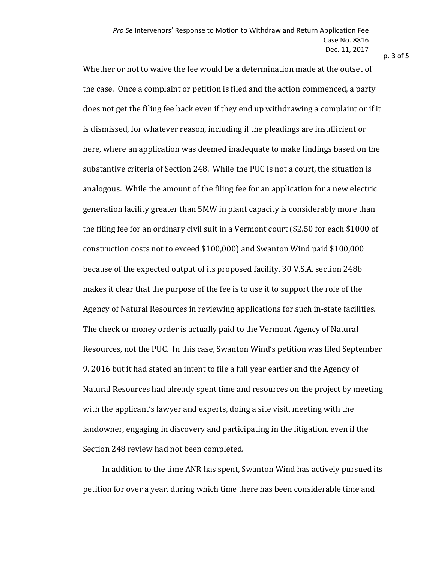$p. 3$  of  $5$ 

Whether or not to waive the fee would be a determination made at the outset of the case. Once a complaint or petition is filed and the action commenced, a party does not get the filing fee back even if they end up withdrawing a complaint or if it is dismissed, for whatever reason, including if the pleadings are insufficient or here, where an application was deemed inadequate to make findings based on the substantive criteria of Section 248. While the PUC is not a court, the situation is analogous. While the amount of the filing fee for an application for a new electric generation facility greater than 5MW in plant capacity is considerably more than the filing fee for an ordinary civil suit in a Vermont court  $$2.50$  for each \$1000 of construction costs not to exceed \$100,000) and Swanton Wind paid \$100,000 because of the expected output of its proposed facility, 30 V.S.A. section 248b makes it clear that the purpose of the fee is to use it to support the role of the Agency of Natural Resources in reviewing applications for such in-state facilities. The check or money order is actually paid to the Vermont Agency of Natural Resources, not the PUC. In this case, Swanton Wind's petition was filed September 9, 2016 but it had stated an intent to file a full year earlier and the Agency of Natural Resources had already spent time and resources on the project by meeting with the applicant's lawyer and experts, doing a site visit, meeting with the landowner, engaging in discovery and participating in the litigation, even if the Section 248 review had not been completed.

In addition to the time ANR has spent, Swanton Wind has actively pursued its petition for over a year, during which time there has been considerable time and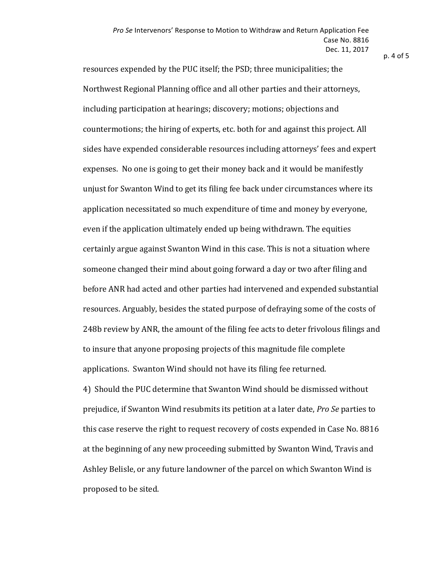$p.4$  of  $5$ 

resources expended by the PUC itself; the PSD; three municipalities; the Northwest Regional Planning office and all other parties and their attorneys, including participation at hearings; discovery; motions; objections and countermotions; the hiring of experts, etc. both for and against this project. All sides have expended considerable resources including attorneys' fees and expert expenses. No one is going to get their money back and it would be manifestly unjust for Swanton Wind to get its filing fee back under circumstances where its application necessitated so much expenditure of time and money by everyone, even if the application ultimately ended up being withdrawn. The equities certainly argue against Swanton Wind in this case. This is not a situation where someone changed their mind about going forward a day or two after filing and before ANR had acted and other parties had intervened and expended substantial resources. Arguably, besides the stated purpose of defraying some of the costs of 248b review by ANR, the amount of the filing fee acts to deter frivolous filings and to insure that anyone proposing projects of this magnitude file complete applications. Swanton Wind should not have its filing fee returned. 4) Should the PUC determine that Swanton Wind should be dismissed without prejudice, if Swanton Wind resubmits its petition at a later date, *Pro Se* parties to this case reserve the right to request recovery of costs expended in Case No. 8816 at the beginning of any new proceeding submitted by Swanton Wind, Travis and Ashley Belisle, or any future landowner of the parcel on which Swanton Wind is

proposed to be sited.